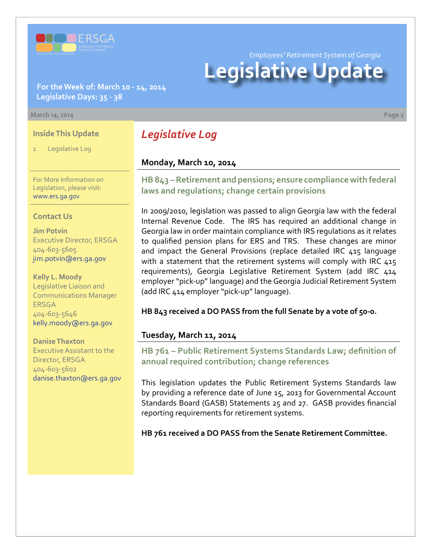

**For the Week of: March 10 - 14, 2014 Legislative Days: 35 - 38**

#### **March 14, 2014 Page 1**

### **Inside This Update**

Legislative Log

For More Information on Legislation, please visit: [www.ers.ga.gov](http://www.ers.ga.gov/default.aspx)

### **Contact Us**

**Jim Potvin** Executive Director, ERSGA 404-603-5605 jim.potvin@ers.ga.gov

**Kelly L. Moody** Legislative Liaison and Communications Manager ERSGA 404-603-5646 kelly.moody@ers.ga.gov

**Danise Thaxton** Executive Assistant to the Director, ERSGA 404-603-5602 danise.thaxton@ers.ga.gov *Legislative Log*

### **Monday, March 10, 2014**

**HB [843 –](http://www.legis.ga.gov/legislation/en-US/Display/20132014/HB/843) Retirement and pensions; ensure compliance with federal laws and regulations; change certain provisions**

In 2009/2010, legislation was passed to align Georgia law with the federal Internal Revenue Code. The IRS has required an additional change in Georgia law in order maintain compliance with IRS regulations as it relates to qualified pension plans for ERS and TRS. These changes are minor and impact the General Provisions (replace detailed IRC 415 language with a statement that the retirement systems will comply with IRC 415 requirements), Georgia Legislative Retirement System (add IRC 414 employer "pick-up" language) and the Georgia Judicial Retirement System (add IRC 414 employer "pick-up" language).

**HB 843 received a DO PASS from the full Senate by a vote of 50-0.**

### **Tuesday, March 11, 2014**

**HB [761 – P](http://www.legis.ga.gov/legislation/en-US/Display/20132014/HB/761)ublic Retirement Systems Standards Law; definition of annual required contribution; change references**

This legislation updates the Public Retirement Systems Standards law by providing a reference date of June 15, 2013 for Governmental Account Standards Board (GASB) Statements 25 and 27. GASB provides financial reporting requirements for retirement systems.

**HB 761 received a DO PASS from the Senate Retirement Committee.**

*Employees' Retirement System of Georgia*

# **Legislative Update**